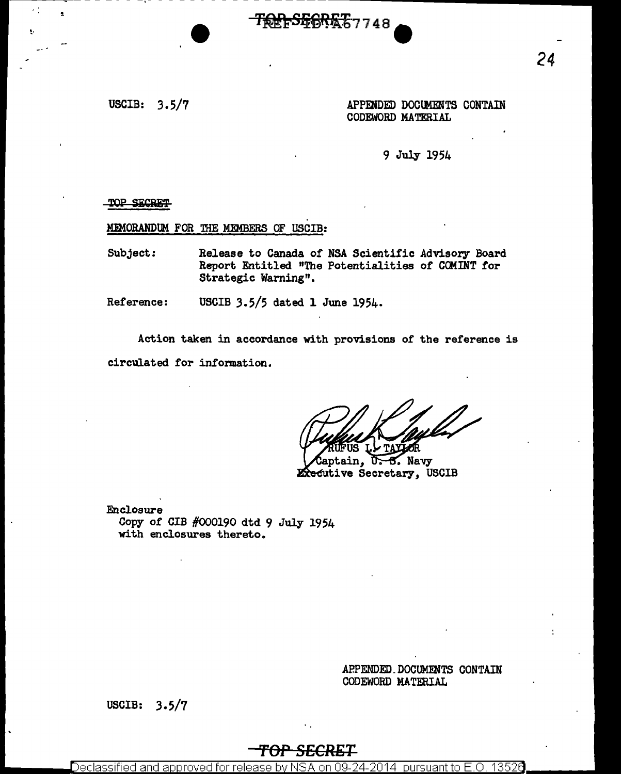USCIB: 3.5/7 APPENDED DOCUMENTS CONTAIN CODEWORD MATERIAL

9 July 1954

TOP SECRET

MEMORANDUM FOR THE MEMBERS OF USCIB:

Subject: Release to Canada of NSA Scientific Advisory Board Report Entitled "The Potentialities of COMINT for Strategic Warning".

<del>SG6RET7</del>748

Reference: USCIB 3.5/5 dated 1 June 1954.

Action taken in accordance with provisions of the reference is circulated for information.

**U.S. Navy** tain. **Executive Secretary, USCIB** 

Enclosure Copy of CIB #000190 dtd 9 July 1954 with enclosures thereto.

> APPENDED.DOCUMENTS CONTAIN CODEWORD MATERIAL

USCIB: 3.5/7

## T<del>OP SECRET</del>

Declassified and approved for release by NSA on 09-24-2014  $\,$  pursuant to E.O.  $\,$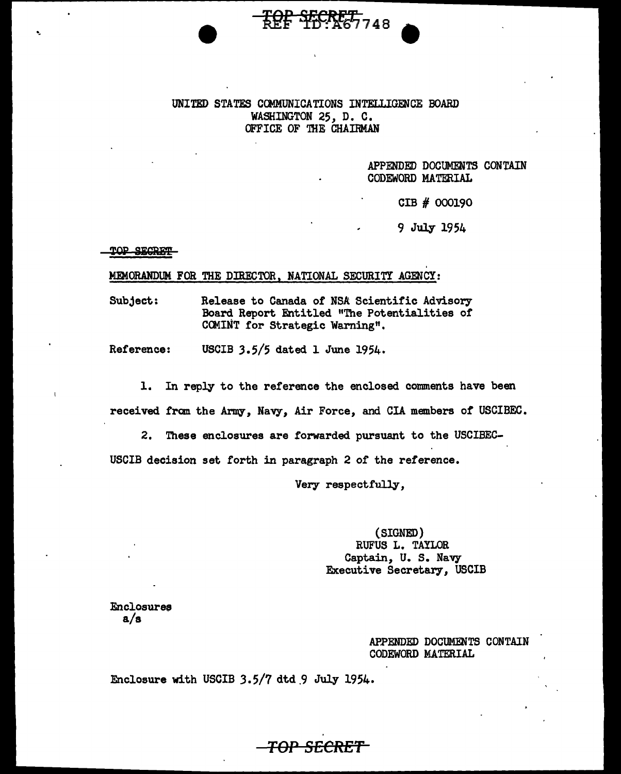### UNITED STATES COMMUNICATIONS INTELLIGENCE BOARD WASHINGTON 25, D. C. OFFICE OF THE CHAIRMAN

<del>ፒርድ የፑርRET,</del><br>ቱ<del>ርድ የፑር</del>RET,

APPENDED DOCUMENTS CONTAIN CODEWORD MATERIAL

CIB # 000190

9 July 1954

#### TOP SECRET

#### MEMORANDUM FOR THE DIRECTOR. NATIONAL SECURITY AGENCY:

Subject: Release to Canada of NSA Scientific Advisory Board Report Entitled "The Potentialities of COMINT for Strategic Warning".

Reference: USCIB 3.5/5 dated 1 June 1954.

1. In reply to the reference the enclosed comments have been received fran the Army, Navy, Air Force, and CIA members of USCIBEC.

2. These enclosures are forwarded pursuant to the USCIBEC-USCIB decision set forth in paragraph 2 of the reference.

Very respectfully,

*TOP SECRET* 

(SIGNED) RUFUS L. TAYLOR Captain, U. S. Navy Executive Secretary, USCIB

**Enclosures** a/s

> APPENDED DOCUMENTS CONTAIN CODEWORD MATERIAL

Enclosure with USCIB 3.5/7 dtd.9 July 1954.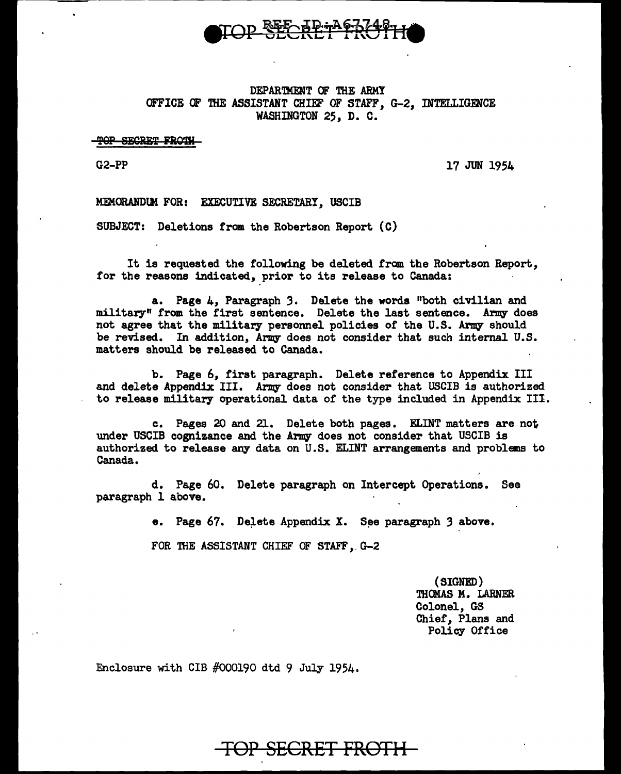

### DEPARTMENT OF THE ARMY OFFICE OF THE ASSISTANT CHIEF OF STAFF, G-2, INTELLIGENCE WASHINGTON 25, D. C.

TOP SECRET FROTH

G2-PP

17 JUN 1954

MEMORANDUM FOR: EXECUTIVE SECRETARY, USCIB

SUBJECT: Deletions from the Robertson Report (C)

It is requested the following be deleted from the Robertson Report, for the reasons indicated, prior to its release to Canada:

a. Page 4, Paragraph 3. Delete the words "both civilian and military" from the first sentence. Delete the last sentence. Army does not agree that the military personnel policies of the U.S. Army should be revised. In addition, Anny does not consider that such internal U.S. matters should be released to Canada.

b. Page 6, first paragraph. Delete reference to Appendix III and delete Appendix III. Army does not consider that USCIB is authorized to release military operational data of the type included in Appendix III.

c. Pages 20 and 21. Delete both pages. EI.INT matters are not under USCIB cognizance and the Army does not consider that USCIB is authorized. to release any data on U.S. EI.INT arrangements and problems to Canada.

d. Page 60. Delete paragraph on Intercept Operations. See paragraph l above.

e. Page  $67$ . Delete Appendix X. See paragraph 3 above.

FOR THE ASSISTANT CHIEF OF STAFF, G-2

(SIGNED) THCMAS M. LARNER Colonel, GS Chief, Plans and Policy Office

Enclosure with CIB #000190 dtd 9 July 1954.

# TOP SECRET FROTH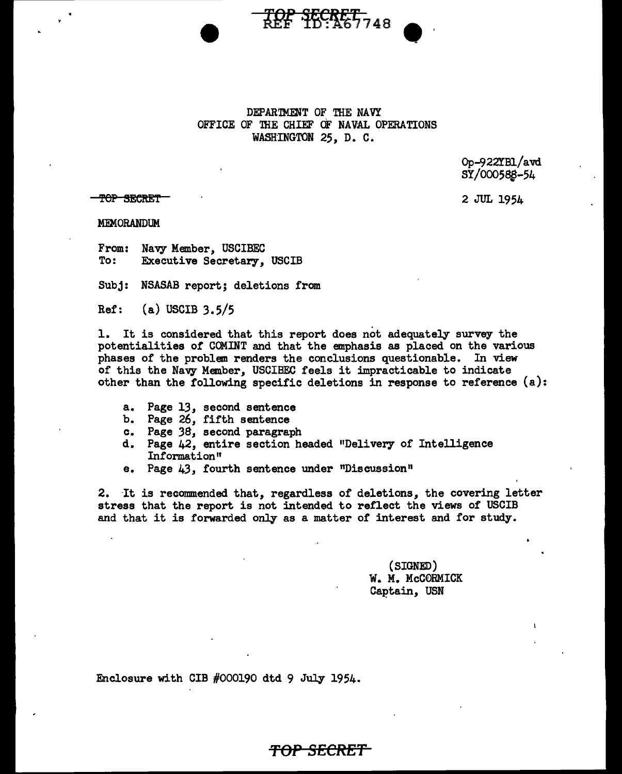

TOP SECRET<sub>748</sub>

Op-922YB1/avd SY/000588-54

<del>top secret</del>

2 JUL 1954

MEMORANDUM

From: Navy Member, USCIBEC<br>To: Executive Secretary. Executive Secretary, USCIB

Subj: NSASAB report; deletions from

Ref: (a) USCIB 3.5/5

1. It is considered that this report does not adequately survey the potentialities or COMINT and that the emphasis as placed on the various phases of the problem renders the conclusions questionable. In view of this the Navy Member, USCIBEC feels it impracticable to indicate other than the following specific deletions in response to reference (a):

- a. Page 13, second sentence
- b. Page 26, fifth sentence
- c. Page *38,* second paragraph
- d. Page 42, entire section headed "Delivery of Intelligence Information"
- e. Page 43, fourth sentence under "Discussion"

2. It is recommended that, regardless of deletions, the covering letter stress that the report is not intended to reflect the views of USCIB and that it is forwarded only as a matter of interest and for study.

<del>TOP SECRET'</del>

(SIGNED) W. M. McCORMICK Captain, USN

Enclosure with CIB #000190 dtd 9 July 1954.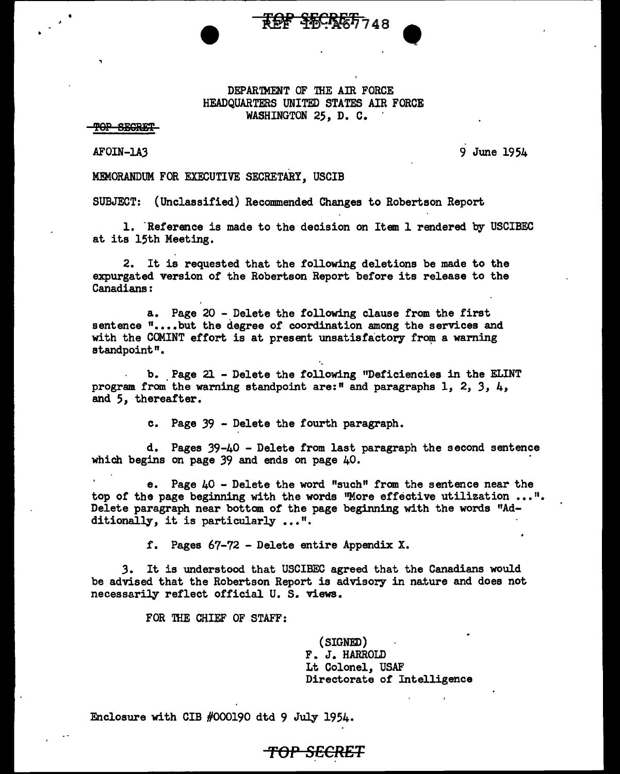#### DEPAR'IMENT OF THE AIR FORCE HEADQUARTERS UNITED STATES AIR FORCE WASHINGTON *25,* D. C.

TOP SEGRET

•

AFOIN-LA3

9 June 1954

•

MDiORANDUM FOR EXECUTIVE SECRETARY, USCIB

SUBJECT: (Unclassified) Recommended Changes to Robertson Report

1. Reference is made to the decision on Item 1 rendered by USCIBEC at its 15th Meeting.

2. It is requested that the following deletions be made to the expurgated version of the Robertson Report before its release to the Canadians:

a. Page 20 - Delete the following clause from the first sentence "....but the degree of coordination among the services and with the COMINT effort is at present unsatisfactory from a warning standpoint".

b •. Page 21 - Delete the following "Deficiencies in the EI.INT program from the waming standpoint are:" and paragraphs 1, 2, *3,* 4, and *5,* thereafter.

c. Page 39 - Delete the fourth paragraph.

d. Pages 39-40 - Delete from last paragraph the second sentence which begins on page 39 and ends on page 40.

e. Page 40 - Delete the word "such" from the sentence near the top of the page beginning with the words "More effective utilization ...". Delete paragraph near bottom of the page beginning with the words "Additionally, it is particularly ...".

f. Pages 67-72 - Delete entire Appendix X.

,3. It is understood that USCIBEC agreed that the Canadians would be advised that the Robertson Report is advisory in nature and does not necessarily reflect official U. S. views.

**TOP SECRET** 

FOR THE CHIEF OF STAFF:

(SIGNED) F. J. HARROLD Lt Colonel, USAF Directorate of Intelligence

Enclosure with CIB #000190 dtd 9 July 1954.